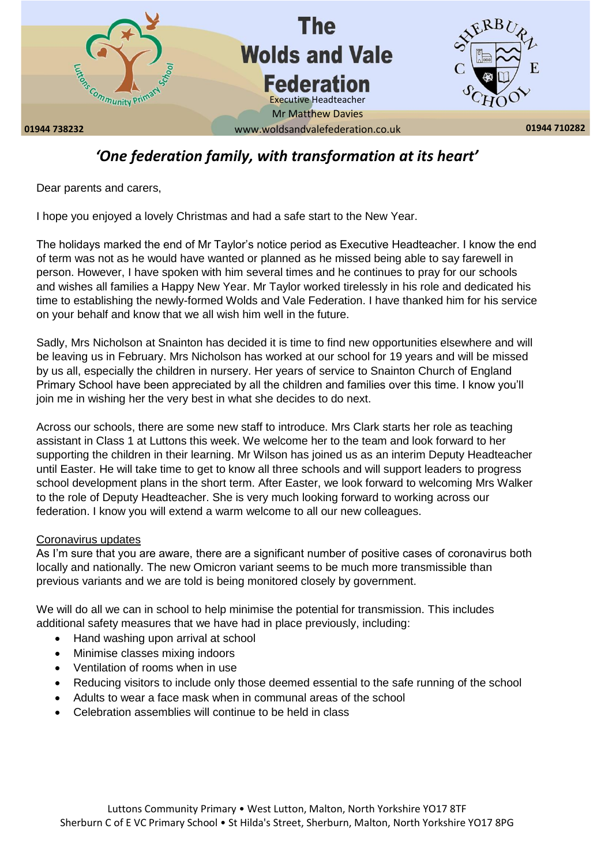

## *'One federation family, with transformation at its heart'*

Dear parents and carers,

I hope you enjoyed a lovely Christmas and had a safe start to the New Year.

The holidays marked the end of Mr Taylor's notice period as Executive Headteacher. I know the end of term was not as he would have wanted or planned as he missed being able to say farewell in person. However, I have spoken with him several times and he continues to pray for our schools and wishes all families a Happy New Year. Mr Taylor worked tirelessly in his role and dedicated his time to establishing the newly-formed Wolds and Vale Federation. I have thanked him for his service on your behalf and know that we all wish him well in the future.

Sadly, Mrs Nicholson at Snainton has decided it is time to find new opportunities elsewhere and will be leaving us in February. Mrs Nicholson has worked at our school for 19 years and will be missed by us all, especially the children in nursery. Her years of service to Snainton Church of England Primary School have been appreciated by all the children and families over this time. I know you'll join me in wishing her the very best in what she decides to do next.

Across our schools, there are some new staff to introduce. Mrs Clark starts her role as teaching assistant in Class 1 at Luttons this week. We welcome her to the team and look forward to her supporting the children in their learning. Mr Wilson has joined us as an interim Deputy Headteacher until Easter. He will take time to get to know all three schools and will support leaders to progress school development plans in the short term. After Easter, we look forward to welcoming Mrs Walker to the role of Deputy Headteacher. She is very much looking forward to working across our federation. I know you will extend a warm welcome to all our new colleagues.

## Coronavirus updates

As I'm sure that you are aware, there are a significant number of positive cases of coronavirus both locally and nationally. The new Omicron variant seems to be much more transmissible than previous variants and we are told is being monitored closely by government.

We will do all we can in school to help minimise the potential for transmission. This includes additional safety measures that we have had in place previously, including:

- Hand washing upon arrival at school
- Minimise classes mixing indoors
- Ventilation of rooms when in use
- Reducing visitors to include only those deemed essential to the safe running of the school
- Adults to wear a face mask when in communal areas of the school
- Celebration assemblies will continue to be held in class